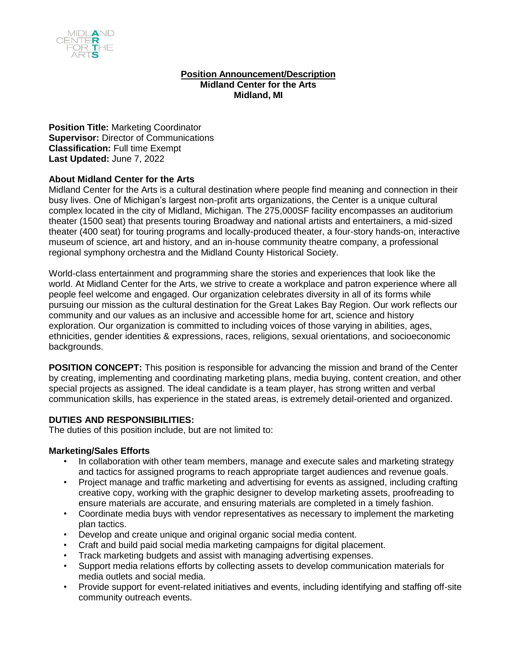

### **Position Announcement/Description Midland Center for the Arts Midland, MI**

**Position Title:** Marketing Coordinator **Supervisor:** Director of Communications **Classification:** Full time Exempt **Last Updated:** June 7, 2022

## **About Midland Center for the Arts**

Midland Center for the Arts is a cultural destination where people find meaning and connection in their busy lives. One of Michigan's largest non-profit arts organizations, the Center is a unique cultural complex located in the city of Midland, Michigan. The 275,000SF facility encompasses an auditorium theater (1500 seat) that presents touring Broadway and national artists and entertainers, a mid-sized theater (400 seat) for touring programs and locally-produced theater, a four-story hands-on, interactive museum of science, art and history, and an in-house community theatre company, a professional regional symphony orchestra and the Midland County Historical Society.

World-class entertainment and programming share the stories and experiences that look like the world. At Midland Center for the Arts, we strive to create a workplace and patron experience where all people feel welcome and engaged. Our organization celebrates diversity in all of its forms while pursuing our mission as the cultural destination for the Great Lakes Bay Region. Our work reflects our community and our values as an inclusive and accessible home for art, science and history exploration. Our organization is committed to including voices of those varying in abilities, ages, ethnicities, gender identities & expressions, races, religions, sexual orientations, and socioeconomic backgrounds.

**POSITION CONCEPT:** This position is responsible for advancing the mission and brand of the Center by creating, implementing and coordinating marketing plans, media buying, content creation, and other special projects as assigned. The ideal candidate is a team player, has strong written and verbal communication skills, has experience in the stated areas, is extremely detail-oriented and organized.

## **DUTIES AND RESPONSIBILITIES:**

The duties of this position include, but are not limited to:

#### **Marketing/Sales Efforts**

- In collaboration with other team members, manage and execute sales and marketing strategy and tactics for assigned programs to reach appropriate target audiences and revenue goals.
- Project manage and traffic marketing and advertising for events as assigned, including crafting creative copy, working with the graphic designer to develop marketing assets, proofreading to ensure materials are accurate, and ensuring materials are completed in a timely fashion.
- Coordinate media buys with vendor representatives as necessary to implement the marketing plan tactics.
- Develop and create unique and original organic social media content.
- Craft and build paid social media marketing campaigns for digital placement.
- Track marketing budgets and assist with managing advertising expenses.
- Support media relations efforts by collecting assets to develop communication materials for media outlets and social media.
- Provide support for event-related initiatives and events, including identifying and staffing off-site community outreach events.